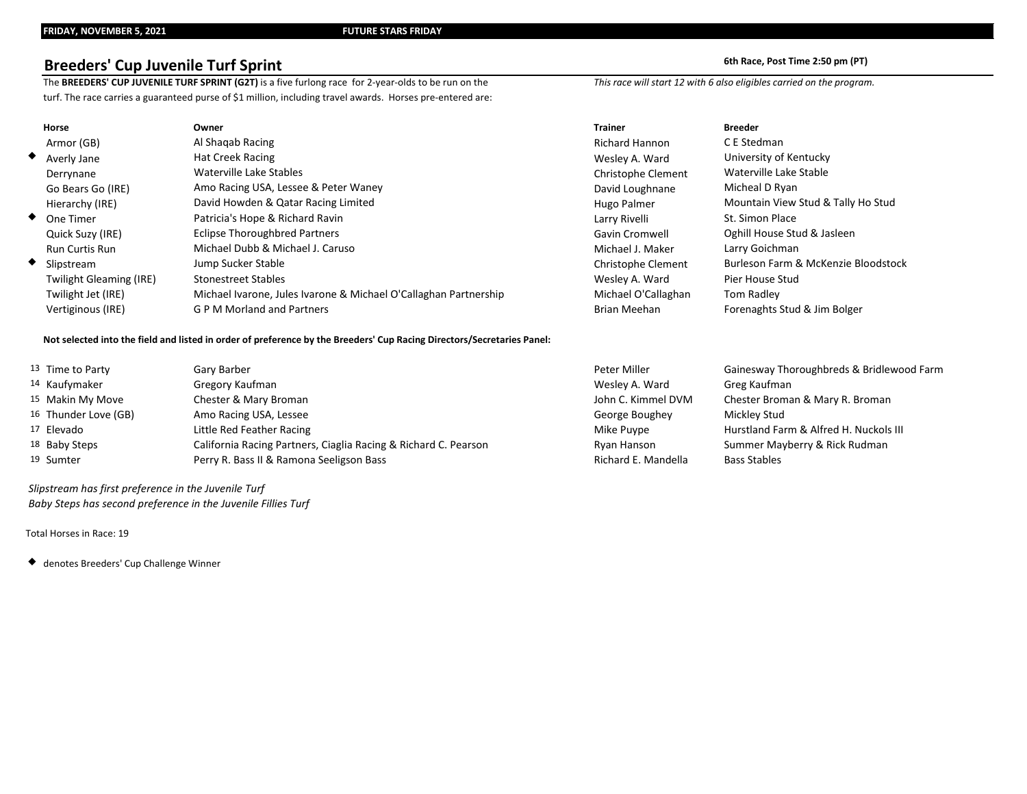# **Breeders' Cup Juvenile Turf Sprint 6th Race, Post Time 2:50 pm (PT)**

The BREEDERS' CUP JUVENILE TURF SPRINT (G2T) is a five furlong race for 2-year-olds to be run on the *This race will start 12 with 6 also eligibles carried on the program.* turf. The race carries a guaranteed purse of \$1 million, including travel awards. Horses pre-entered are:

| oth Race, Post Time 2:50 pm ( |  |  |  |
|-------------------------------|--|--|--|
|                               |  |  |  |

| Horse                          | Owner                                                            | <b>Trainer</b>            | <b>Breeder</b>                      |
|--------------------------------|------------------------------------------------------------------|---------------------------|-------------------------------------|
| Armor (GB)                     | Al Shaqab Racing                                                 | <b>Richard Hannon</b>     | C E Stedman                         |
| $\blacklozenge$ Averly Jane    | <b>Hat Creek Racing</b>                                          | Wesley A. Ward            | University of Kentucky              |
| Derrynane                      | Waterville Lake Stables                                          | <b>Christophe Clement</b> | Waterville Lake Stable              |
| Go Bears Go (IRE)              | Amo Racing USA, Lessee & Peter Waney                             | David Loughnane           | Micheal D Ryan                      |
| Hierarchy (IRE)                | David Howden & Qatar Racing Limited                              | Hugo Palmer               | Mountain View Stud & Tally Ho Stud  |
| ◆ One Timer                    | Patricia's Hope & Richard Ravin                                  | Larry Rivelli             | St. Simon Place                     |
| Quick Suzy (IRE)               | <b>Eclipse Thoroughbred Partners</b>                             | Gavin Cromwell            | Oghill House Stud & Jasleen         |
| <b>Run Curtis Run</b>          | Michael Dubb & Michael J. Caruso                                 | Michael J. Maker          | Larry Goichman                      |
| ◆ Slipstream                   | Jump Sucker Stable                                               | <b>Christophe Clement</b> | Burleson Farm & McKenzie Bloodstock |
| <b>Twilight Gleaming (IRE)</b> | <b>Stonestreet Stables</b>                                       | Wesley A. Ward            | Pier House Stud                     |
| Twilight Jet (IRE)             | Michael Ivarone, Jules Ivarone & Michael O'Callaghan Partnership | Michael O'Callaghan       | Tom Radley                          |
| Vertiginous (IRE)              | <b>GPM Morland and Partners</b>                                  | Brian Meehan              | Forenaghts Stud & Jim Bolger        |

### **Not selected into the field and listed in order of preference by the Breeders' Cup Racing Directors/Secretaries Panel:**

| 13 Time to Party            | Gary Barber                                                     | Peter Miller        | Gainesway Thoroughbreds & Bridlewood Farm |
|-----------------------------|-----------------------------------------------------------------|---------------------|-------------------------------------------|
| 14 Kaufymaker               | Gregory Kaufman                                                 | Wesley A. Ward      | Greg Kaufman                              |
| <sup>15</sup> Makin My Move | Chester & Mary Broman                                           | John C. Kimmel DVM  | Chester Broman & Mary R. Broman           |
| 16 Thunder Love (GB)        | Amo Racing USA, Lessee                                          | George Boughey      | Mickley Stud                              |
| 17 Elevado                  | Little Red Feather Racing                                       | Mike Puype          | Hurstland Farm & Alfred H. Nuckols III    |
| 18 Baby Steps               | California Racing Partners, Ciaglia Racing & Richard C. Pearson | Ryan Hanson         | Summer Mayberry & Rick Rudman             |
| 19 Sumter                   | Perry R. Bass II & Ramona Seeligson Bass                        | Richard E. Mandella | <b>Bass Stables</b>                       |
|                             |                                                                 |                     |                                           |

 *Slipstream has first preference in the Juvenile Turf Baby Steps has second preference in the Juvenile Fillies Turf*

Total Horses in Race: 19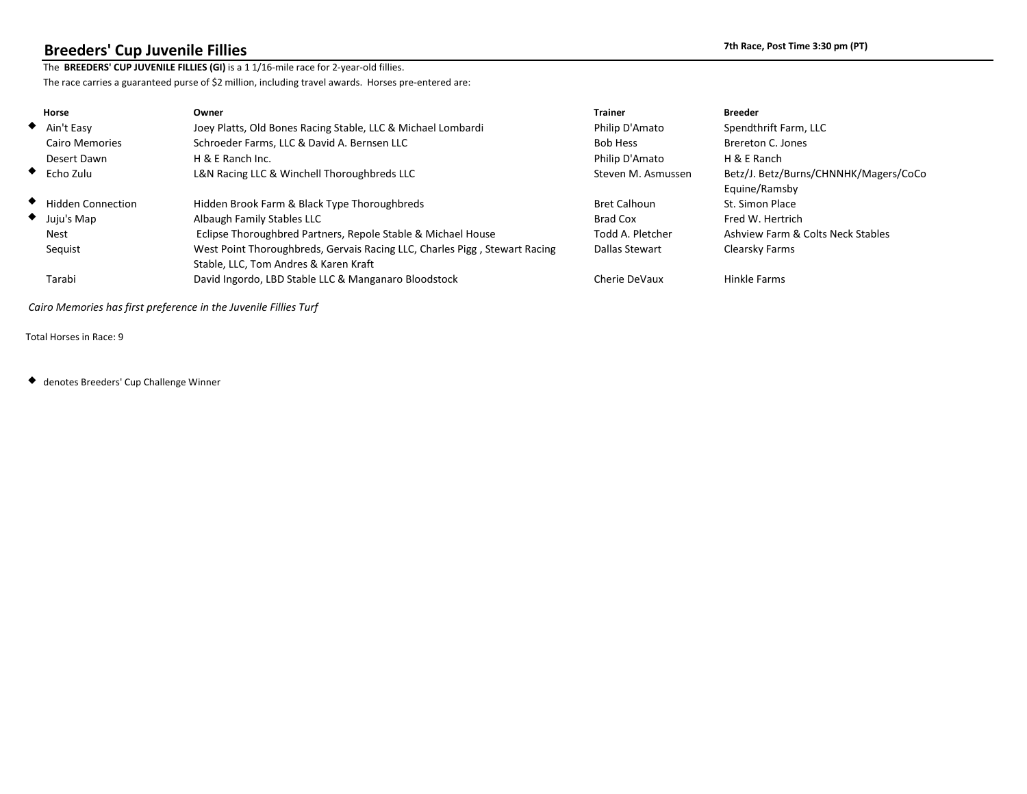## **Breeders' Cup Juvenile Fillies 7th Race, Post Time 3:30 pm (PT)**

The **BREEDERS' CUP JUVENILE FILLIES (G1)** is a 1 1/16-mile race for 2-year-old fillies. The race carries a guaranteed purse of \$2 million, including travel awards. Horses pre-entered are:

| Horse                      | Owner                                                                  | <b>Trainer</b>      | <b>Breeder</b>                        |
|----------------------------|------------------------------------------------------------------------|---------------------|---------------------------------------|
| $\blacklozenge$ Ain't Easy | Joey Platts, Old Bones Racing Stable & Michael Lombardi                | Philip D'Amato      | Spendthrift Farm                      |
| <b>Cairo Memories</b>      | Schroeder Farms & David A. Bernsen                                     | <b>Bob Hess</b>     | Brereton C. Jones                     |
| Desert Dawn                | H & E Ranch                                                            | Philip D'Amato      | H & E Ranch                           |
| $\bullet$ Echo Zulu        | L&N Racing & Winchell Thoroughbreds                                    | Steven M. Asmussen  | Betz/J. Betz/Burns/CHNNHK/Magers/CoCo |
|                            |                                                                        |                     | Equine/Ramsby                         |
| <b>Hidden Connection</b>   | Hidden Brook Farm & Black Type Thoroughbreds                           | <b>Bret Calhoun</b> | St. Simon Place                       |
| $\bullet$ Juju's Map       | Albaugh Family Stables                                                 | Brad Cox            | Fred W. Hertrich                      |
| <b>Nest</b>                | Eclipse Thoroughbred Partners, Repole Stable & Michael House           | Todd A. Pletcher    | Ashview Farm & Colts Neck Stables     |
| Sequist                    | West Point Thoroughbreds, Gervais Racing, Charles Pigg, Stewart Racing | Dallas Stewart      | Clearsky Farms                        |
|                            | Stable, Tom Andres & Karen Kraft                                       |                     |                                       |
| Tarabi                     | David Ingordo, LBD Stable & Manganaro Bloodstock                       | Cherie DeVaux       | Hinkle Farms                          |
|                            |                                                                        |                     |                                       |

 *Cairo Memories has first preference in the Juvenile Fillies Turf*

Total Horses in Race: 9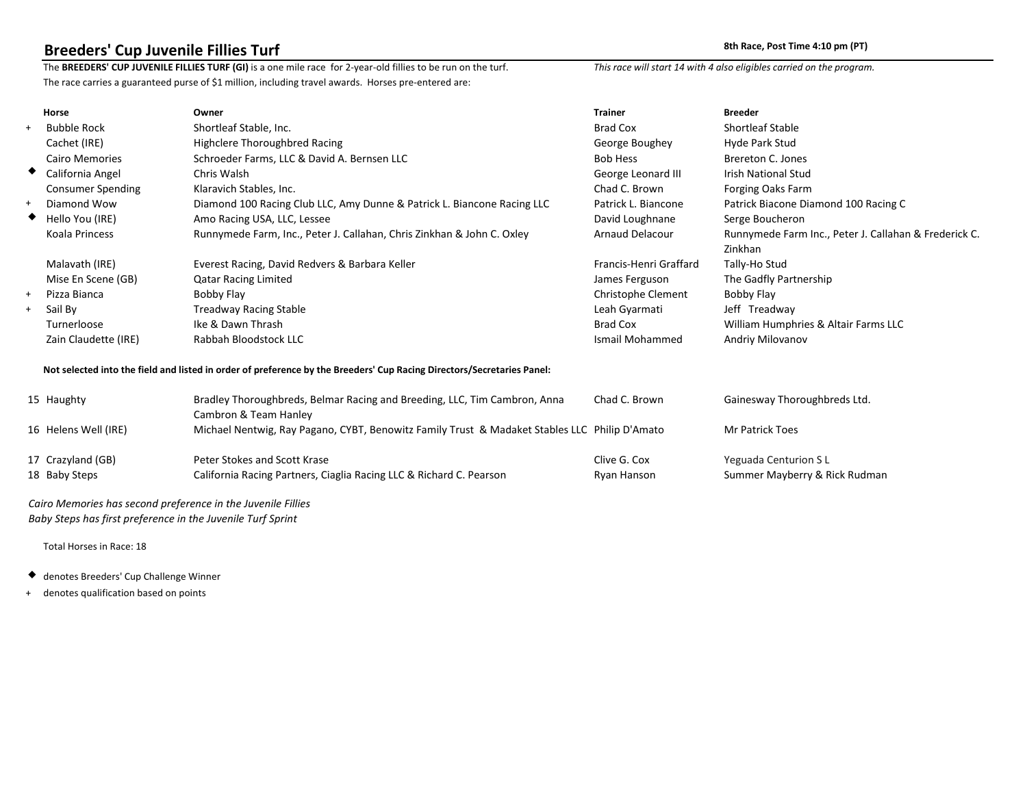**Breeders' Cup Juvenile Fillies Turf**<br>The BREEDERS' CUP JUVENILE FILLIES TURF (G1T) is a one mile race for 2-year-old fillies to be run on the This race will start 14 with 4 also eligibles carried on the program. The BREEDERS' CUP JUVENILE FILLIES TURF (G1T) is a one mile race for 2-year-old fillies to be run on the turf. The race carries a guaranteed purse of \$1 million, including travel awards. Horses pre-entered are:

|   | <b>Horse</b>             | Owner                                                                                                                  | <b>Trainer</b>         | <b>Breeder</b>                                              |
|---|--------------------------|------------------------------------------------------------------------------------------------------------------------|------------------------|-------------------------------------------------------------|
|   | <b>Bubble Rock</b>       | <b>Shortleaf Stable</b>                                                                                                | <b>Brad Cox</b>        | <b>Shortleaf Stable</b>                                     |
|   | Cachet (IRE)             | Highclere Thoroughbred Racing                                                                                          | George Boughey         | Hyde Park Stud                                              |
|   | <b>Cairo Memories</b>    | Schroeder Farms & David A. Bernsen                                                                                     | <b>Bob Hess</b>        | Brereton C. Jones                                           |
| ◆ | California Angel         | Chris Walsh                                                                                                            | George Leonard III     | <b>Irish National Stud</b>                                  |
|   | <b>Consumer Spending</b> | <b>Klaravich Stables</b>                                                                                               | Chad C. Brown          | Forging Oaks Farm                                           |
|   | Diamond Wow              | Diamond 100 Racing Club, Amy Dunne & Patrick L. Biancone Racing                                                        | Patrick L. Biancone    | Patrick Biacone Diamond 100 Racing C                        |
|   | Hello You (IRE)          | Amo Racing USA, Lessee                                                                                                 | David Loughnane        | Serge Boucheron                                             |
|   | Koala Princess           | Runnymede Farm, Peter J. Callahan, Chris Zinkhan & John C. Oxley                                                       | Arnaud Delacour        | Runnymede Farm, Peter J. Callahan & Frederick C.<br>Zinkhan |
|   | Malavath (IRE)           | Everest Racing, David Redvers & Barbara Keller                                                                         | Francis-Henri Graffard | Tally-Ho Stud                                               |
|   | Mise En Scene (GB)       | <b>Qatar Racing Limited</b>                                                                                            | James Ferguson         | The Gadfly Partnership                                      |
|   | Pizza Bianca             | Bobby Flay                                                                                                             | Christophe Clement     | Bobby Flay                                                  |
|   | Sail By                  | <b>Treadway Racing Stable</b>                                                                                          | Leah Gyarmati          | Jeff Treadway                                               |
|   | Turnerloose              | Ike & Dawn Thrash                                                                                                      | <b>Brad Cox</b>        | William Humphries & Altair Farms                            |
|   | Zain Claudette (IRE)     | Rabbah Bloodstock                                                                                                      | <b>Ismail Mohammed</b> | Andriy Milovanov                                            |
|   |                          | Not selected into the field and listed in order of preference by the Breeders' Cup Racing Directors/Secretaries Panel: |                        |                                                             |
|   | 15 Haughty               | Bradley Thoroughbreds, Belmar Racing and Breeding DI m Cambron, Anna<br>Cambron & Team Hanley                          | Chad C. Brown          | Gainesway Thoroughbreds                                     |
|   | 16 Helens Well (IRE)     | Michael Nentwig, Ray Pagano, CYBT, Benowitz Family Trust & Madaket Stables                                             | Philip D'Amato         | Mr Patrick Toes                                             |
|   | 17 Crazyland (GB)        | Peter Stokes and Scott Krase                                                                                           | Clive G. Cox           | Yeguada Centurion SL                                        |
|   | 18 Baby Steps            | California Racing Partners, Ciaglia Racing & Richard C. Pearson                                                        | Ryan Hanson            | Summer Mayberry & Rick Rudman                               |

 *Cairo Memories has second preference in the Juvenile Fillies Baby Steps has first preference in the Juvenile Turf Sprint*

- denotes Breeders' Cup Challenge Winner
- + denotes qualification based on points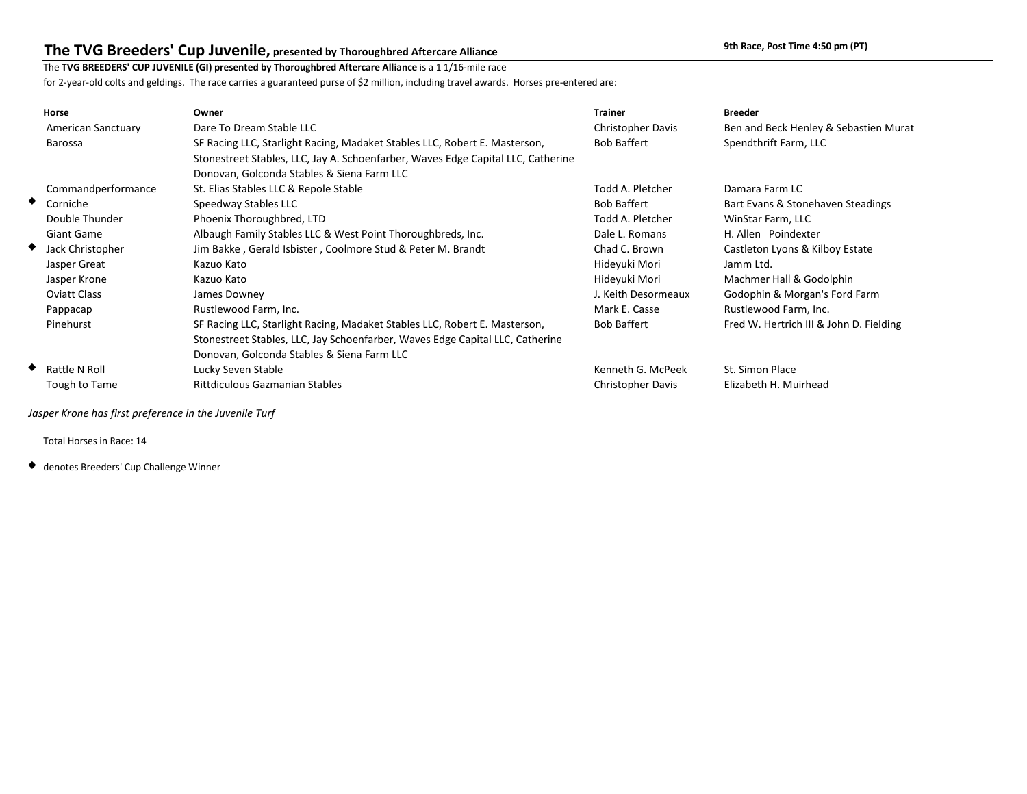## **The TVG Breeders' Cup Juvenile, presented by Thoroughbred Aftercare Alliance 11 Accord 2001 12001 12001 12001 12001** 9th Race, Post Time 4:50 pm (PT)

### The **TVG BREEDERS' CUP JUVENILE (GI) presented by Thoroughbred Aftercare Alliance** is a 1 1/16-mile race

for 2-year-old colts and geldings. The race carries a guaranteed purse of \$2 million, including travel awards. Horses pre-entered are:

| Horse                 | Owner                                                                            | <b>Trainer</b>      | <b>Breeder</b>                          |
|-----------------------|----------------------------------------------------------------------------------|---------------------|-----------------------------------------|
| American Sanctuary    | Dare To Dream Stable LLC                                                         | Christopher Davis   | Ben and Beck Henley & Sebastien Murat   |
| Barossa               | SF Racing LLC, Starlight Racing, Madaket Stables LLC, Robert E. Masterson,       | <b>Bob Baffert</b>  | Spendthrift Farm, LLC                   |
|                       | Stonestreet Stables, LLC, Jay A. Schoenfarber, Waves Edge Capital LLC, Catherine |                     |                                         |
|                       | Donovan, Golconda Stables & Siena Farm LLC                                       |                     |                                         |
| Commandperformance    | St. Elias Stables LLC & Repole Stable                                            | Todd A. Pletcher    | Damara Farm LC                          |
| ◆ Corniche            | Speedway Stables LLC                                                             | <b>Bob Baffert</b>  | Bart Evans & Stonehaven Steadings       |
| Double Thunder        | Phoenix Thoroughbred, LTD                                                        | Todd A. Pletcher    | WinStar Farm, LLC                       |
| Giant Game            | Albaugh Family Stables LLC & West Point Thoroughbreds, Inc.                      | Dale L. Romans      | H. Allen Poindexter                     |
| Jack Christopher<br>◆ | Jim Bakke, Gerald Isbister, Coolmore Stud & Peter M. Brandt                      | Chad C. Brown       | Castleton Lyons & Kilboy Estate         |
| Jasper Great          | Kazuo Kato                                                                       | Hideyuki Mori       | Jamm Ltd.                               |
| Jasper Krone          | Kazuo Kato                                                                       | Hideyuki Mori       | Machmer Hall & Godolphin                |
| <b>Oviatt Class</b>   | James Downey                                                                     | J. Keith Desormeaux | Godophin & Morgan's Ford Farm           |
| Pappacap              | Rustlewood Farm, Inc.                                                            | Mark E. Casse       | Rustlewood Farm, Inc.                   |
| Pinehurst             | SF Racing LLC, Starlight Racing, Madaket Stables LLC, Robert E. Masterson,       | <b>Bob Baffert</b>  | Fred W. Hertrich III & John D. Fielding |
|                       | Stonestreet Stables, LLC, Jay Schoenfarber, Waves Edge Capital LLC, Catherine    |                     |                                         |
|                       | Donovan, Golconda Stables & Siena Farm LLC                                       |                     |                                         |
| ◆ Rattle N Roll       | Lucky Seven Stable                                                               | Kenneth G. McPeek   | St. Simon Place                         |
| Tough to Tame         | <b>Rittdiculous Gazmanian Stables</b>                                            | Christopher Davis   | Elizabeth H. Muirhead                   |

 *Jasper Krone has first preference in the Juvenile Turf*

Total Horses in Race: 14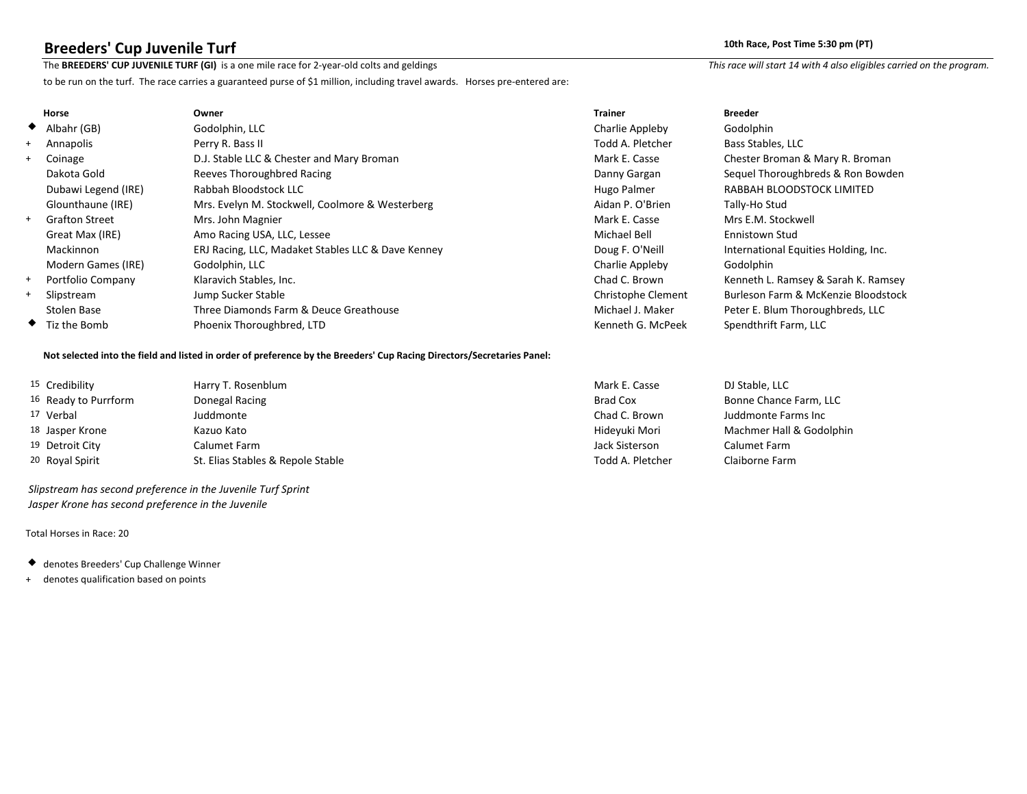**Breeders' Cup Juvenile Turf** 10th Race, Post Time 5:30 pm (PT)<br>The BREEDERS' CUP JUVENILE TURF (GI) is a one mile race for 2-year-old colts and geldings This race will start 14 with 4 also eligibles carried on the program The BREEDERS' CUP JUVENILE TURF (GI) is a one mile race for 2-year-old colts and geldings

to be run on the turf. The race carries a guaranteed purse of \$1 million, including travel awards. Horses pre-entered are:

|     | Horse                       | Owner                                              | <b>Trainer</b>     | <b>Breeder</b>                       |
|-----|-----------------------------|----------------------------------------------------|--------------------|--------------------------------------|
|     | $\blacklozenge$ Albahr (GB) | Godolphin, LLC                                     | Charlie Appleby    | Godolphin                            |
| $+$ | Annapolis                   | Perry R. Bass II                                   | Todd A. Pletcher   | Bass Stables, LLC                    |
| $+$ | Coinage                     | D.J. Stable LLC & Chester and Mary Broman          | Mark E. Casse      | Chester Broman & Mary R. Broman      |
|     | Dakota Gold                 | Reeves Thoroughbred Racing                         | Danny Gargan       | Sequel Thoroughbreds & Ron Bowden    |
|     | Dubawi Legend (IRE)         | Rabbah Bloodstock LLC                              | Hugo Palmer        | RABBAH BLOODSTOCK LIMITED            |
|     | Glounthaune (IRE)           | Mrs. Evelyn M. Stockwell, Coolmore & Westerberg    | Aidan P. O'Brien   | Tally-Ho Stud                        |
| $+$ | <b>Grafton Street</b>       | Mrs. John Magnier                                  | Mark E. Casse      | Mrs E.M. Stockwell                   |
|     | Great Max (IRE)             | Amo Racing USA, LLC, Lessee                        | Michael Bell       | Ennistown Stud                       |
|     | Mackinnon                   | ERJ Racing, LLC, Madaket Stables LLC & Dave Kenney | Doug F. O'Neill    | International Equities Holding, Inc. |
|     | Modern Games (IRE)          | Godolphin, LLC                                     | Charlie Appleby    | Godolphin                            |
| $+$ | Portfolio Company           | Klaravich Stables, Inc.                            | Chad C. Brown      | Kenneth L. Ramsey & Sarah K. Ramsey  |
| $+$ | Slipstream                  | Jump Sucker Stable                                 | Christophe Clement | Burleson Farm & McKenzie Bloodstock  |
|     | Stolen Base                 | Three Diamonds Farm & Deuce Greathouse             | Michael J. Maker   | Peter E. Blum Thoroughbreds, LLC     |
|     | $\bullet$ Tiz the Bomb      | Phoenix Thoroughbred, LTD                          | Kenneth G. McPeek  | Spendthrift Farm, LLC                |

### **Not selected into the field and listed in order of preference by the Breeders' Cup Racing Directors/Secretaries Panel:**

| 15 Credibility       | Harry T. Rosenblum                | Mark E. Casse    | DJ Stable, LLC           |
|----------------------|-----------------------------------|------------------|--------------------------|
| 16 Ready to Purrform | Donegal Racing                    | Brad Cox         | Bonne Chance Farm, LLC   |
| 17 Verbal            | Juddmonte                         | Chad C. Brown    | Juddmonte Farms Inc      |
| 18 Jasper Krone      | Kazuo Kato                        | Hideyuki Mori    | Machmer Hall & Godolphin |
| 19 Detroit City      | Calumet Farm                      | Jack Sisterson   | Calumet Farm             |
| 20 Royal Spirit      | St. Elias Stables & Repole Stable | Todd A. Pletcher | Claiborne Farm           |

 *Slipstream has second preference in the Juvenile Turf Sprint Jasper Krone has second preference in the Juvenile*

- denotes Breeders' Cup Challenge Winner
- + denotes qualification based on points

| Casse    | DJ Stable, LLC      |
|----------|---------------------|
| oх       | <b>Bonne Chance</b> |
| ∴ Brown  | Juddmonte Far       |
| ıki Mori | Machmer Hall        |
| sterson  | Calumet Farm        |
|          |                     |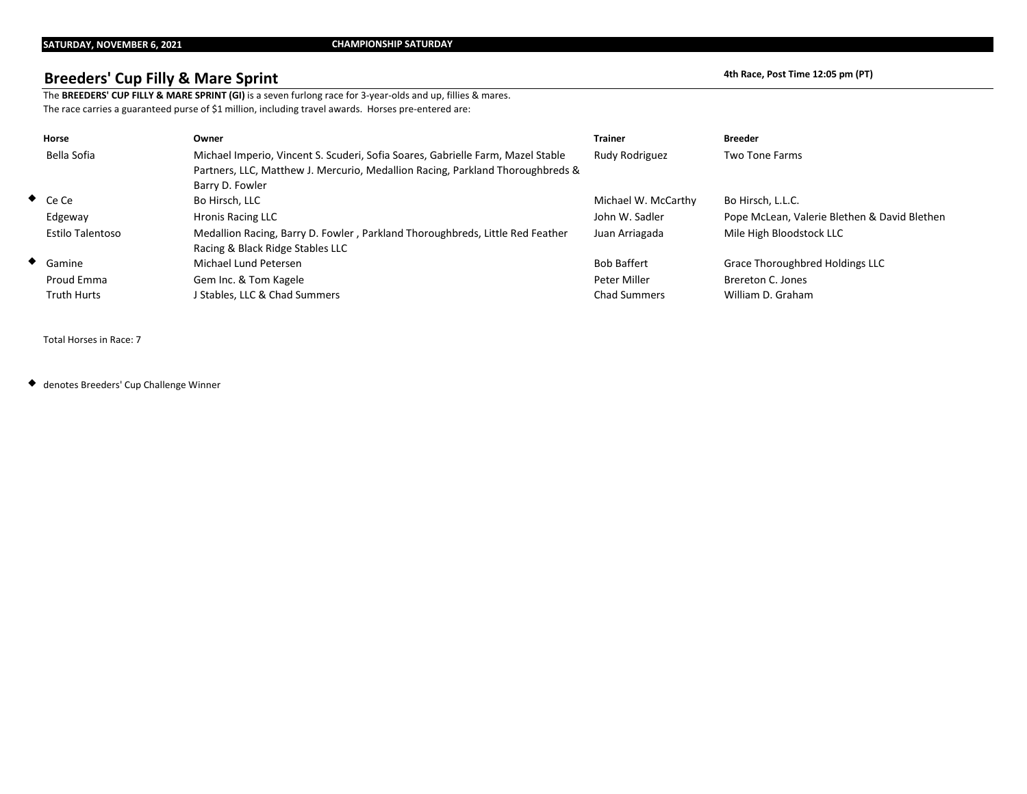## **Breeders' Cup Filly & Mare Sprint All and Service 2018 12:05 pm (PT) 4th Race, Post Time 12:05 pm (PT)**

The **BREEDERS' CUP FILLY & MARE SPRINT (GI)** is a seven furlong race for 3-year-olds and up, fillies & mares. The race carries a guaranteed purse of \$1 million, including travel awards. Horses pre-entered are:

| Horse                   | Owner                                                                                                                                                                                | <b>Trainer</b>      | <b>Breeder</b>                               |
|-------------------------|--------------------------------------------------------------------------------------------------------------------------------------------------------------------------------------|---------------------|----------------------------------------------|
| Bella Sofia             | Michael Imperio, Vincent S. Scuderi, Sofia Soares, Gabrielle Farm, Mazel Stable<br>Partners, LLC, Matthew J. Mercurio, Medallion Racing, Parkland Thoroughbreds &<br>Barry D. Fowler | Rudy Rodriguez      | <b>Two Tone Farms</b>                        |
| $\bullet$ Ce Ce         | Bo Hirsch, LLC                                                                                                                                                                       | Michael W. McCarthy | Bo Hirsch, L.L.C.                            |
| Edgeway                 | <b>Hronis Racing LLC</b>                                                                                                                                                             | John W. Sadler      | Pope McLean, Valerie Blethen & David Blethen |
| <b>Estilo Talentoso</b> | Medallion Racing, Barry D. Fowler, Parkland Thoroughbreds, Little Red Feather<br>Racing & Black Ridge Stables LLC                                                                    | Juan Arriagada      | Mile High Bloodstock LLC                     |
| $\bullet$ Gamine        | Michael Lund Petersen                                                                                                                                                                | <b>Bob Baffert</b>  | Grace Thoroughbred Holdings LLC              |
| Proud Emma              | Gem Inc. & Tom Kagele                                                                                                                                                                | Peter Miller        | Brereton C. Jones                            |
| <b>Truth Hurts</b>      | <b>Stables, LLC &amp; Chad Summers</b>                                                                                                                                               | <b>Chad Summers</b> | William D. Graham                            |

Total Horses in Race: 7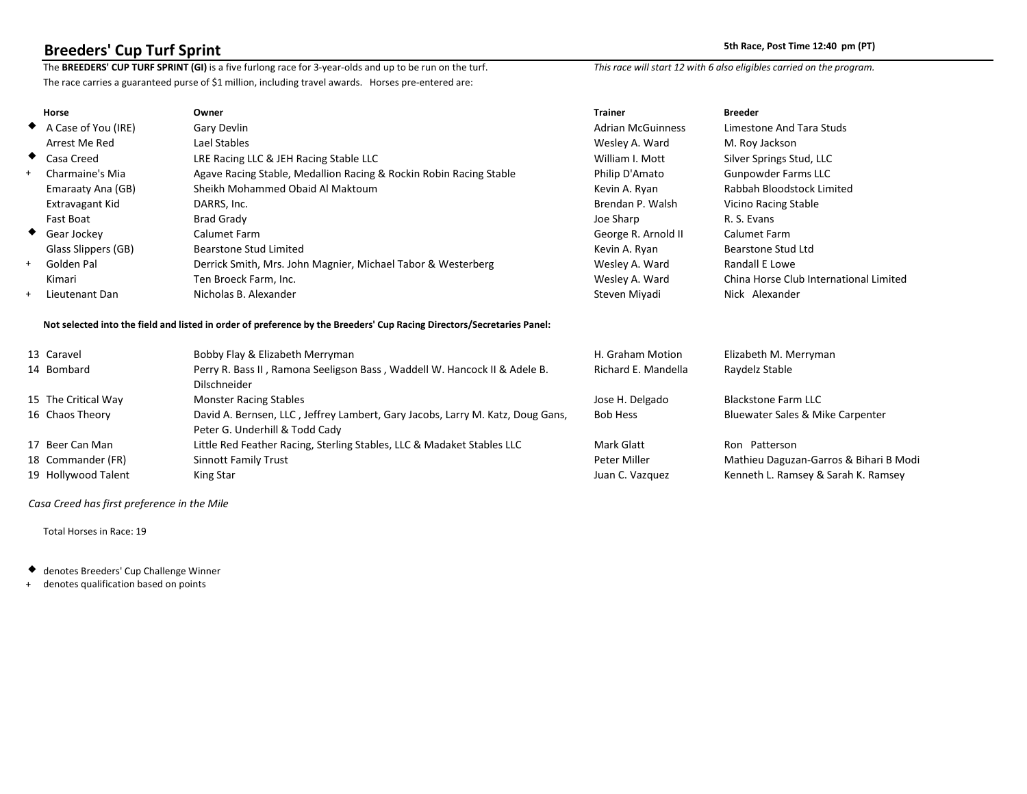**Breeders' Cup Turf Sprint** 50 pm (PT)<br>The BREEDERS' CUP TURF SPRINT (GI) is a five furlong race for 3-year-olds and up to be run on the turf. This race will start 12 with 6 also eligibles carried on the program. The BREEDERS' CUP TURF SPRINT (GI) is a five furlong race for 3-year-olds and up to be run on the turf. The race carries a guaranteed purse of \$1 million, including travel awards. Horses pre-entered are:

|     | <b>Horse</b>                  | Owner                                                              | <b>Trainer</b>           | <b>Breeder</b>                         |
|-----|-------------------------------|--------------------------------------------------------------------|--------------------------|----------------------------------------|
|     | $\bullet$ A Case of You (IRE) | Gary Devlin                                                        | <b>Adrian McGuinness</b> | Limestone And Tara Studs               |
|     | Arrest Me Red                 | Lael Stables                                                       | Wesley A. Ward           | M. Roy Jackson                         |
|     | ◆ Casa Creed                  | LRE Racing LLC & JEH Racing Stable LLC                             | William I. Mott          | Silver Springs Stud, LLC               |
| $+$ | Charmaine's Mia               | Agave Racing Stable, Medallion Racing & Rockin Robin Racing Stable | Philip D'Amato           | <b>Gunpowder Farms LLC</b>             |
|     | Emaraaty Ana (GB)             | Sheikh Mohammed Obaid Al Maktoum                                   | Kevin A. Ryan            | Rabbah Bloodstock Limited              |
|     | Extravagant Kid               | DARRS, Inc.                                                        | Brendan P. Walsh         | Vicino Racing Stable                   |
|     | Fast Boat                     | <b>Brad Grady</b>                                                  | Joe Sharp                | R. S. Evans                            |
|     | ◆ Gear Jockey                 | Calumet Farm                                                       | George R. Arnold II      | Calumet Farm                           |
|     | Glass Slippers (GB)           | Bearstone Stud Limited                                             | Kevin A. Ryan            | <b>Bearstone Stud Ltd</b>              |
| $+$ | Golden Pal                    | Derrick Smith, Mrs. John Magnier, Michael Tabor & Westerberg       | Wesley A. Ward           | Randall E Lowe                         |
|     | Kimari                        | Ten Broeck Farm, Inc.                                              | Wesley A. Ward           | China Horse Club International Limited |
| $+$ | Lieutenant Dan                | Nicholas B. Alexander                                              | Steven Miyadi            | Nick Alexander                         |

### **Not selected into the field and listed in order of preference by the Breeders' Cup Racing Directors/Secretaries Panel:**

| 13 Caravel          | Bobby Flay & Elizabeth Merryman                                                | H. Graham Motion    | Elizabeth M. Merryman                  |
|---------------------|--------------------------------------------------------------------------------|---------------------|----------------------------------------|
| 14 Bombard          | Perry R. Bass II, Ramona Seeligson Bass, Waddell W. Hancock II & Adele B.      | Richard E. Mandella | Raydelz Stable                         |
|                     | <b>Dilschneider</b>                                                            |                     |                                        |
| 15 The Critical Way | <b>Monster Racing Stables</b>                                                  | Jose H. Delgado     | <b>Blackstone Farm LLC</b>             |
| 16 Chaos Theory     | David A. Bernsen, LLC, Jeffrey Lambert, Gary Jacobs, Larry M. Katz, Doug Gans, | <b>Bob Hess</b>     | Bluewater Sales & Mike Carpenter       |
|                     | Peter G. Underhill & Todd Cady                                                 |                     |                                        |
| 17 Beer Can Man     | Little Red Feather Racing, Sterling Stables, LLC & Madaket Stables LLC         | Mark Glatt          | Ron Patterson                          |
| 18 Commander (FR)   | <b>Sinnott Family Trust</b>                                                    | Peter Miller        | Mathieu Daguzan-Garros & Bihari B Modi |
| 19 Hollywood Talent | King Star                                                                      | Juan C. Vazquez     | Kenneth L. Ramsey & Sarah K. Ramsey    |

 *Casa Creed has first preference in the Mile*

Total Horses in Race: 19

denotes Breeders' Cup Challenge Winner

+ denotes qualification based on points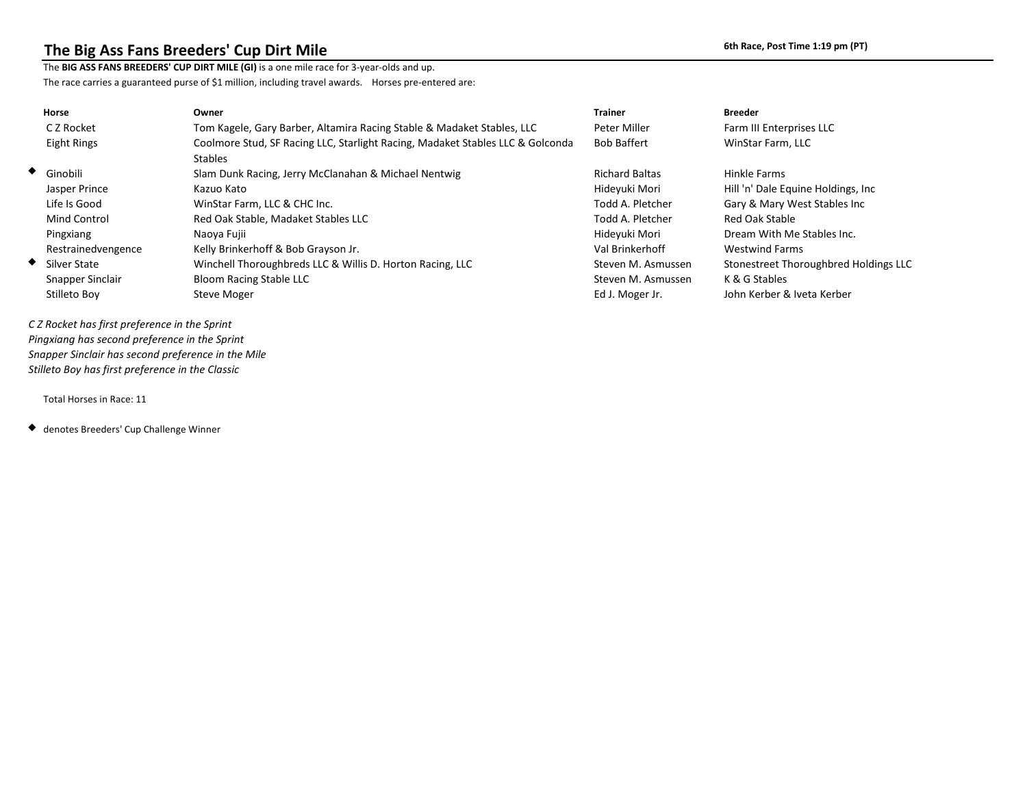## The Big Ass Fans Breeders' Cup Dirt Mile *Cup and Mile* **6th Race, Post Time 1:19 pm (PT)**

The **BIG ASS FANS BREEDERS' CUP DIRT MILE (GI)** is a one mile race for 3-year-olds and up.

The race carries a guaranteed purse of \$1 million, including travel awards. Horses pre-entered are:

| <b>Horse</b>       | Owner                                                                                            | <b>Trainer</b>        | <b>Breeder</b>                        |
|--------------------|--------------------------------------------------------------------------------------------------|-----------------------|---------------------------------------|
| C Z Rocket         | Tom Kagele, Gary Barber, Altamira Racing Stable & Madaket Stables, LLC                           | Peter Miller          | Farm III Enterprises LLC              |
| Eight Rings        | Coolmore Stud, SF Racing LLC, Starlight Racing, Madaket Stables LLC & Golconda<br><b>Stables</b> | <b>Bob Baffert</b>    | WinStar Farm, LLC                     |
| $\bullet$ Ginobili | Slam Dunk Racing, Jerry McClanahan & Michael Nentwig                                             | <b>Richard Baltas</b> | Hinkle Farms                          |
| Jasper Prince      | Kazuo Kato                                                                                       | Hideyuki Mori         | Hill 'n' Dale Equine Holdings, Inc.   |
| Life Is Good       | WinStar Farm, LLC & CHC Inc.                                                                     | Todd A. Pletcher      | Gary & Mary West Stables Inc          |
| Mind Control       | Red Oak Stable, Madaket Stables LLC                                                              | Todd A. Pletcher      | Red Oak Stable                        |
| Pingxiang          | Naoya Fujii                                                                                      | Hideyuki Mori         | Dream With Me Stables Inc.            |
| Restrainedvengence | Kelly Brinkerhoff & Bob Grayson Jr.                                                              | Val Brinkerhoff       | <b>Westwind Farms</b>                 |
| ◆<br>Silver State  | Winchell Thoroughbreds LLC & Willis D. Horton Racing, LLC                                        | Steven M. Asmussen    | Stonestreet Thoroughbred Holdings LLC |
| Snapper Sinclair   | <b>Bloom Racing Stable LLC</b>                                                                   | Steven M. Asmussen    | K & G Stables                         |
| Stilleto Boy       | Steve Moger                                                                                      | Ed J. Moger Jr.       | John Kerber & Iveta Kerber            |

 *C Z Rocket has first preference in the Sprint Pingxiang has second preference in the Sprint Snapper Sinclair has second preference in the Mile Stilleto Boy has first preference in the Classic*

Total Horses in Race: 11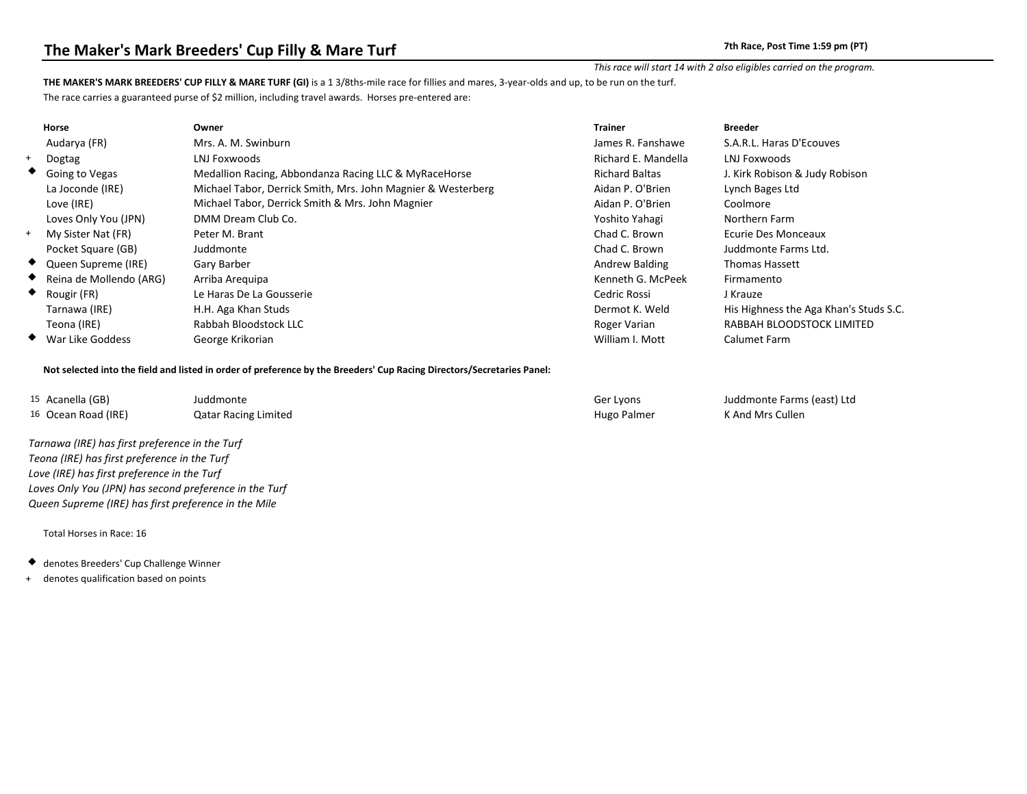### *This race will start 14 with 2 also eligibles carried on the program.*

### **THE MAKER'S MARK BREEDERS' CUP FILLY & MARE TURF (GI)** is a 1 3/8ths-mile race for fillies and mares, 3-year-olds and up, to be run on the turf.

The race carries a guaranteed purse of \$2 million, including travel awards. Horses pre-entered are:

|           | <b>Horse</b>            | Owner                                                        | <b>Trainer</b>        | <b>Breeder</b>                         |
|-----------|-------------------------|--------------------------------------------------------------|-----------------------|----------------------------------------|
|           | Audarya (FR)            | Mrs. A. M. Swinburn                                          | James R. Fanshawe     | S.A.R.L. Haras D'Ecouves               |
|           | + Dogtag                | LNJ Foxwoods                                                 | Richard E. Mandella   | LNJ Foxwoods                           |
|           | ◆ Going to Vegas        | Medallion Racing, Abbondanza Racing LLC & MyRaceHorse        | <b>Richard Baltas</b> | J. Kirk Robison & Judy Robison         |
|           | La Joconde (IRE)        | Michael Tabor, Derrick Smith, Mrs. John Magnier & Westerberg | Aidan P. O'Brien      | Lynch Bages Ltd                        |
|           | Love (IRE)              | Michael Tabor, Derrick Smith & Mrs. John Magnier             | Aidan P. O'Brien      | Coolmore                               |
|           | Loves Only You (JPN)    | DMM Dream Club Co.                                           | Yoshito Yahagi        | Northern Farm                          |
| $+$       | My Sister Nat (FR)      | Peter M. Brant                                               | Chad C. Brown         | <b>Ecurie Des Monceaux</b>             |
|           | Pocket Square (GB)      | Juddmonte                                                    | Chad C. Brown         | Juddmonte Farms Ltd.                   |
|           | ◆ Queen Supreme (IRE)   | Gary Barber                                                  | Andrew Balding        | <b>Thomas Hassett</b>                  |
| $\bullet$ | Reina de Mollendo (ARG) | Arriba Areguipa                                              | Kenneth G. McPeek     | Firmamento                             |
|           | Rougir (FR)             | Le Haras De La Gousserie                                     | Cedric Rossi          | J Krauze                               |
|           | Tarnawa (IRE)           | H.H. Aga Khan Studs                                          | Dermot K. Weld        | His Highness the Aga Khan's Studs S.C. |
|           | Teona (IRE)             | Rabbah Bloodstock LLC                                        | Roger Varian          | RABBAH BLOODSTOCK LIMITED              |
|           | War Like Goddess        | George Krikorian                                             | William I. Mott       | Calumet Farm                           |

### **Not selected into the field and listed in order of preference by the Breeders' Cup Racing Directors/Secretaries Panel:**

| <sup>15</sup> Acanella (GB)    | Juddmonte                   | Ger Lyons   | Juddmonte Farms (east) Ltd |
|--------------------------------|-----------------------------|-------------|----------------------------|
| <sup>16</sup> Ocean Road (IRE) | <b>Qatar Racing Limited</b> | Hugo Palmer | K And Mrs Cullen           |

 *Tarnawa (IRE) has first preference in the Turf Teona (IRE) has first preference in the Turf Love (IRE) has first preference in the Turf Loves Only You (JPN) has second preference in the Turf Queen Supreme (IRE) has first preference in the Mile*

- denotes Breeders' Cup Challenge Winner
- + denotes qualification based on points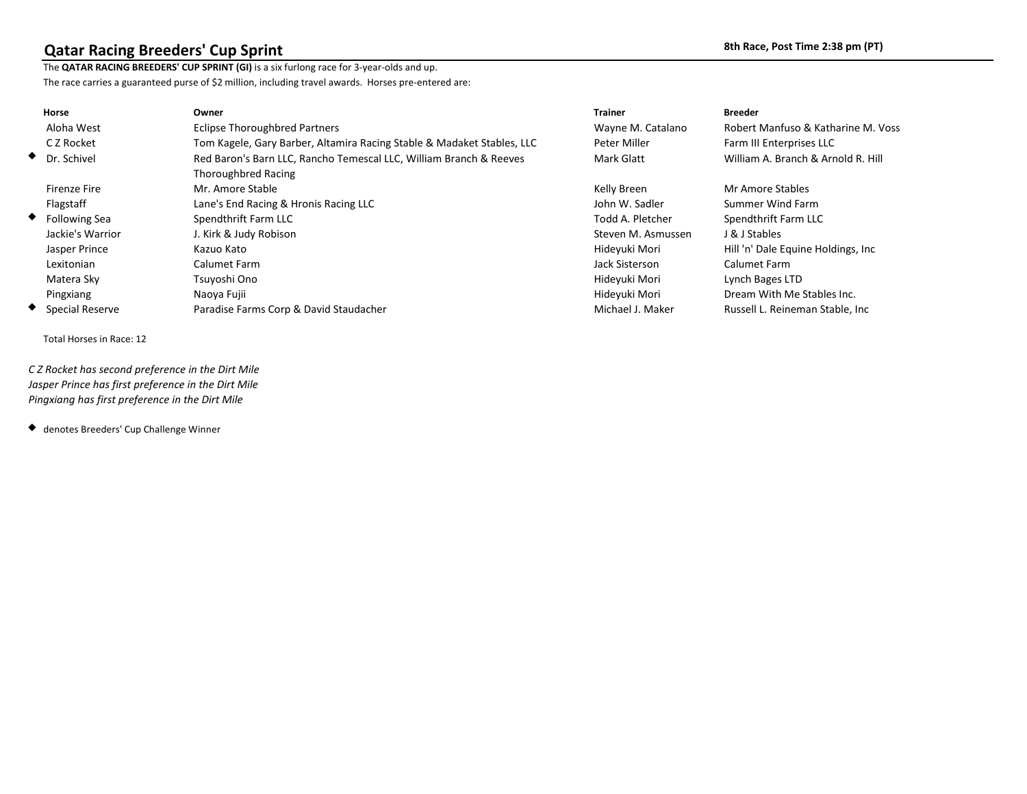## **Qatar Racing Breeders' Cup Sprint 8th Race, Post Time 2:38 pm (PT) 8th Race, Post Time 2:38 pm (PT)**

The **QATAR RACING BREEDERS' CUP SPRINT (GI)** is a six furlong race for 3-year-olds and up. The race carries a guaranteed purse of \$2 million, including travel awards. Horses pre-entered are:

| Horse               | Owner                                                                  | <b>Trainer</b>     | <b>Breeder</b>                     |
|---------------------|------------------------------------------------------------------------|--------------------|------------------------------------|
| Aloha West          | <b>Eclipse Thoroughbred Partners</b>                                   | Wayne M. Catalano  | Robert Manfuso & Katharine M. Voss |
| C Z Rocket          | Tom Kagele, Gary Barber, Altamira Racing Stable & Madaket Stables, LLC | Peter Miller       | Farm III Enterprises LLC           |
| ◆ Dr. Schivel       | Red Baron's Barn LLC, Rancho Temescal LLC, William Branch & Reeves     | Mark Glatt         | William A. Branch & Arnold R. Hill |
|                     | <b>Thoroughbred Racing</b>                                             |                    |                                    |
| <b>Firenze Fire</b> | Mr. Amore Stable                                                       | Kelly Breen        | Mr Amore Stables                   |
| Flagstaff           | Lane's End Racing & Hronis Racing LLC                                  | John W. Sadler     | Summer Wind Farm                   |
| ◆ Following Sea     | Spendthrift Farm LLC                                                   | Todd A. Pletcher   | Spendthrift Farm LLC               |
| Jackie's Warrior    | J. Kirk & Judy Robison                                                 | Steven M. Asmussen | J & J Stables                      |
| Jasper Prince       | Kazuo Kato                                                             | Hideyuki Mori      | Hill 'n' Dale Equine Holdings, Inc |
| Lexitonian          | Calumet Farm                                                           | Jack Sisterson     | Calumet Farm                       |
| Matera Sky          | Tsuyoshi Ono                                                           | Hideyuki Mori      | Lynch Bages LTD                    |
| Pingxiang           | Naoya Fujii                                                            | Hideyuki Mori      | Dream With Me Stables Inc.         |
| ◆ Special Reserve   | Paradise Farms Corp & David Staudacher                                 | Michael J. Maker   | Russell L. Reineman Stable, Inc.   |

Total Horses in Race: 12

 *C Z Rocket has second preference in the Dirt Mile Jasper Prince has first preference in the Dirt Mile Pingxiang has first preference in the Dirt Mile*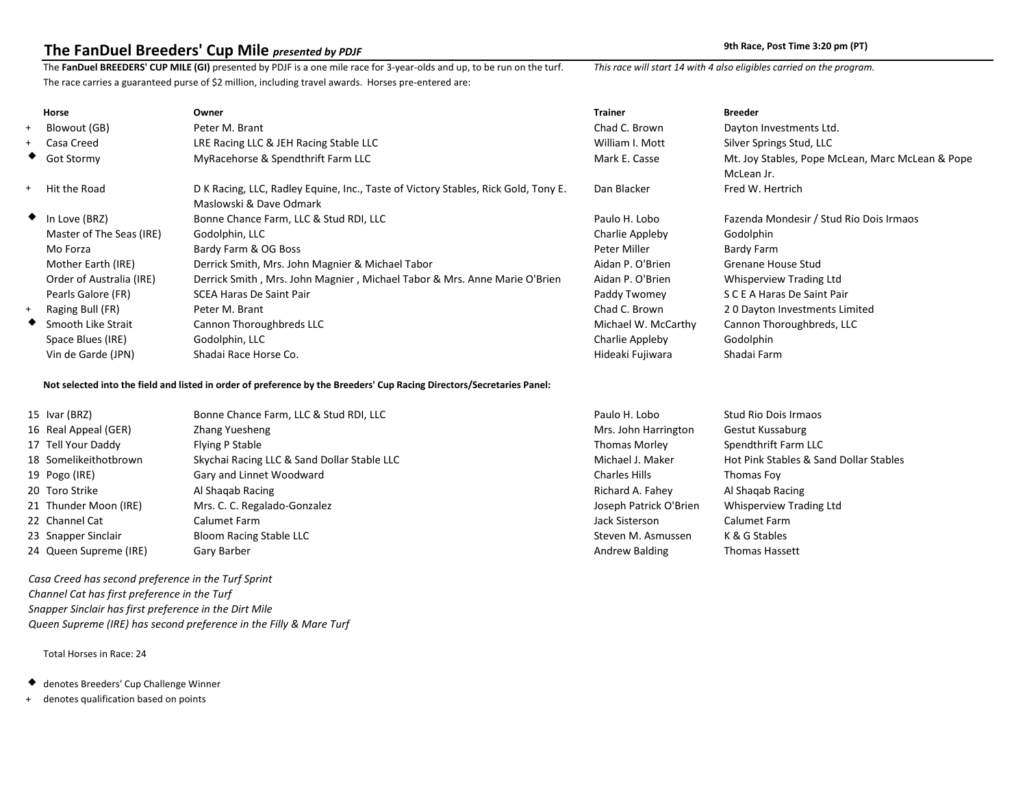## **The FanDuel Breeders' Cup Mile** *presented by PDJF* **19th Case 20 and 20 and 20 and 20 and 20 and 20 and 20 and 20 and 20 and 20 and 20 and 20 and 20 and 20 and 20 and 20 and 20 and 20 and 20 and 20 and 20 and 20 and 20 a**

The **FanDuel BREEDERS' CUP MILE (GI)** presented by PDJF is a one mile race for 3-year-olds and up, to be run on the turf. *This race will start 14 with 4 also eligibles carried on the program.* The race carries a guaranteed purse of \$2 million, including travel awards. Horses pre-entered are:

|     | Horse                    | Owner                                                                              | <b>Trainer</b>      | <b>Breeder</b>                                   |
|-----|--------------------------|------------------------------------------------------------------------------------|---------------------|--------------------------------------------------|
| $+$ | Blowout (GB)             | Peter M. Brant                                                                     | Chad C. Brown       | Dayton Investments Ltd.                          |
|     | + Casa Creed             | LRE Racing LLC & JEH Racing Stable LLC                                             | William I. Mott     | Silver Springs Stud, LLC                         |
|     | ◆ Got Stormy             | MyRacehorse & Spendthrift Farm LLC                                                 | Mark E. Casse       | Mt. Joy Stables, Pope McLean, Marc McLean & Pope |
|     |                          |                                                                                    |                     | McLean Jr.                                       |
|     | + Hit the Road           | D K Racing, LLC, Radley Equine, Inc., Taste of Victory Stables, Rick Gold, Tony E. | Dan Blacker         | Fred W. Hertrich                                 |
|     |                          | Maslowski & Dave Odmark                                                            |                     |                                                  |
|     | $\bullet$ In Love (BRZ)  | Bonne Chance Farm, LLC & Stud RDI, LLC                                             | Paulo H. Lobo       | Fazenda Mondesir / Stud Rio Dois Irmaos          |
|     | Master of The Seas (IRE) | Godolphin, LLC                                                                     | Charlie Appleby     | Godolphin                                        |
|     | Mo Forza                 | Bardy Farm & OG Boss                                                               | Peter Miller        | Bardy Farm                                       |
|     | Mother Earth (IRE)       | Derrick Smith, Mrs. John Magnier & Michael Tabor                                   | Aidan P. O'Brien    | Grenane House Stud                               |
|     | Order of Australia (IRE) | Derrick Smith, Mrs. John Magnier, Michael Tabor & Mrs. Anne Marie O'Brien          | Aidan P. O'Brien    | Whisperview Trading Ltd                          |
|     | Pearls Galore (FR)       | <b>SCEA Haras De Saint Pair</b>                                                    | Paddy Twomey        | S C E A Haras De Saint Pair                      |
| $+$ | Raging Bull (FR)         | Peter M. Brant                                                                     | Chad C. Brown       | 20 Dayton Investments Limited                    |
|     | Smooth Like Strait       | Cannon Thoroughbreds LLC                                                           | Michael W. McCarthy | Cannon Thoroughbreds, LLC                        |
|     | Space Blues (IRE)        | Godolphin, LLC                                                                     | Charlie Appleby     | Godolphin                                        |
|     | Vin de Garde (JPN)       | Shadai Race Horse Co.                                                              | Hideaki Fujiwara    | Shadai Farm                                      |

### **Not selected into the field and listed in order of preference by the Breeders' Cup Racing Directors/Secretaries Panel:**

| 15 Ivar (BRZ)          | Bonne Chance Farm, LLC & Stud RDI, LLC      | Paulo H. Lobo          | Stud Rio Dois Irmaos                   |
|------------------------|---------------------------------------------|------------------------|----------------------------------------|
| 16 Real Appeal (GER)   | Zhang Yuesheng                              | Mrs. John Harrington   | Gestut Kussaburg                       |
| 17 Tell Your Daddy     | Flying P Stable                             | <b>Thomas Morley</b>   | Spendthrift Farm LLC                   |
| 18 Somelikeithotbrown  | Skychai Racing LLC & Sand Dollar Stable LLC | Michael J. Maker       | Hot Pink Stables & Sand Dollar Stables |
| 19 Pogo (IRE)          | Gary and Linnet Woodward                    | <b>Charles Hills</b>   | Thomas Foy                             |
| 20 Toro Strike         | Al Shaqab Racing                            | Richard A. Fahey       | Al Shagab Racing                       |
| 21 Thunder Moon (IRE)  | Mrs. C. C. Regalado-Gonzalez                | Joseph Patrick O'Brien | Whisperview Trading Ltd                |
| 22 Channel Cat         | Calumet Farm                                | Jack Sisterson         | Calumet Farm                           |
| 23 Snapper Sinclair    | Bloom Racing Stable LLC                     | Steven M. Asmussen     | K & G Stables                          |
| 24 Queen Supreme (IRE) | Gary Barber                                 | Andrew Balding         | <b>Thomas Hassett</b>                  |

 *Casa Creed has second preference in the Turf Sprint Channel Cat has first preference in the Turf Snapper Sinclair has first preference in the Dirt Mile Queen Supreme (IRE) has second preference in the Filly & Mare Turf*

- denotes Breeders' Cup Challenge Winner
- + denotes qualification based on points

| n. Lopo           | SLUU KIO DOIS IHIIJUS                  |
|-------------------|----------------------------------------|
| ohn Harrington    | Gestut Kussaburg                       |
| as Morley         | Spendthrift Farm LLC                   |
| el J. Maker       | Hot Pink Stables & Sand Dollar Stables |
| es Hills          | Thomas Foy                             |
| rd A. Fahey       | Al Shaqab Racing                       |
| h Patrick O'Brien | <b>Whisperview Trading Ltd</b>         |
| isterson          | Calumet Farm                           |
| n M. Asmussen     | K & G Stables                          |
| w Balding         | <b>Thomas Hassett</b>                  |
|                   |                                        |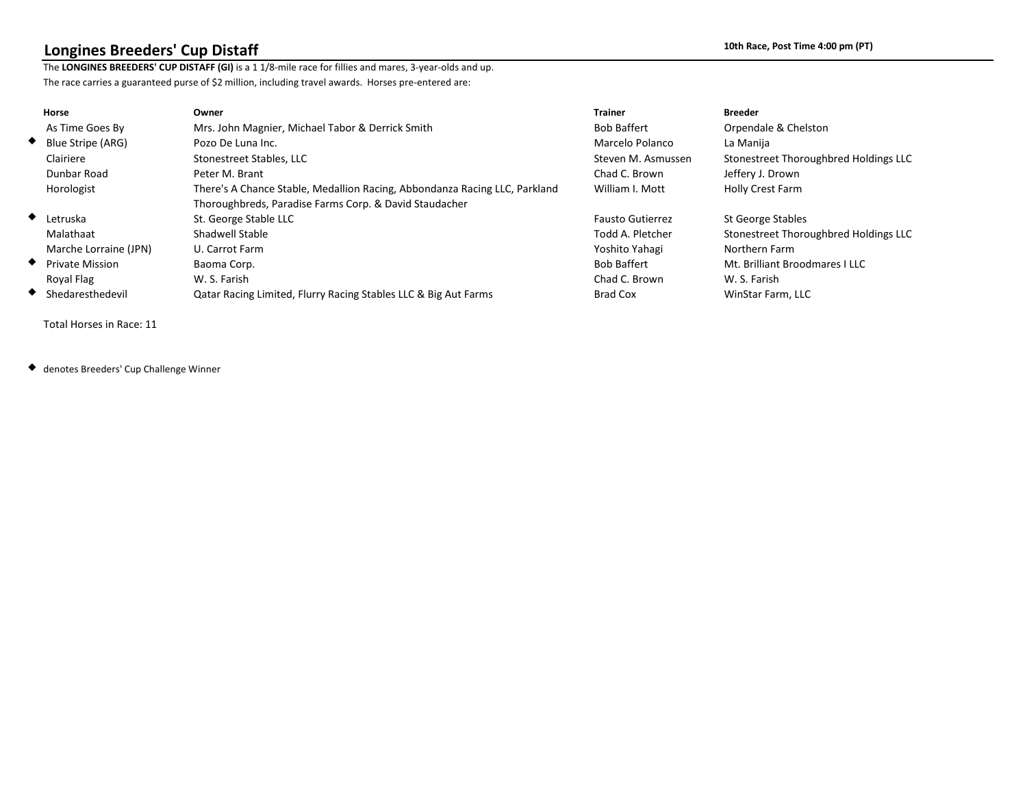## **Longines Breeders' Cup Distaff 10th Race, Post Time 4:00 pm (PT)**

The **LONGINES BREEDERS' CUP DISTAFF (GI)** is a 1 1/8-mile race for fillies and mares, 3-year-olds and up. The race carries a guaranteed purse of \$2 million, including travel awards. Horses pre-entered are:

| Horse                       | Owner                                                                      | <b>Trainer</b>          | <b>Breeder</b>                        |
|-----------------------------|----------------------------------------------------------------------------|-------------------------|---------------------------------------|
| As Time Goes By             | Mrs. John Magnier, Michael Tabor & Derrick Smith                           | <b>Bob Baffert</b>      | Orpendale & Chelston                  |
| $\bullet$ Blue Stripe (ARG) | Pozo De Luna Inc.                                                          | Marcelo Polanco         | La Manija                             |
| Clairiere                   | Stonestreet Stables, LLC                                                   | Steven M. Asmussen      | Stonestreet Thoroughbred Holdings LLC |
| Dunbar Road                 | Peter M. Brant                                                             | Chad C. Brown           | Jeffery J. Drown                      |
| Horologist                  | There's A Chance Stable, Medallion Racing, Abbondanza Racing LLC, Parkland | William I. Mott         | Holly Crest Farm                      |
|                             | Thoroughbreds, Paradise Farms Corp. & David Staudacher                     |                         |                                       |
| $\bullet$ Letruska          | St. George Stable LLC                                                      | <b>Fausto Gutierrez</b> | <b>St George Stables</b>              |
| Malathaat                   | Shadwell Stable                                                            | Todd A. Pletcher        | Stonestreet Thoroughbred Holdings LLC |
| Marche Lorraine (JPN)       | U. Carrot Farm                                                             | Yoshito Yahagi          | Northern Farm                         |
| ♦ Private Mission           | Baoma Corp.                                                                | <b>Bob Baffert</b>      | Mt. Brilliant Broodmares I LLC        |
| Royal Flag                  | W. S. Farish                                                               | Chad C. Brown           | W. S. Farish                          |
| Shedaresthedevil            | Qatar Racing Limited, Flurry Racing Stables LLC & Big Aut Farms            | <b>Brad Cox</b>         | WinStar Farm, LLC                     |

Total Horses in Race: 11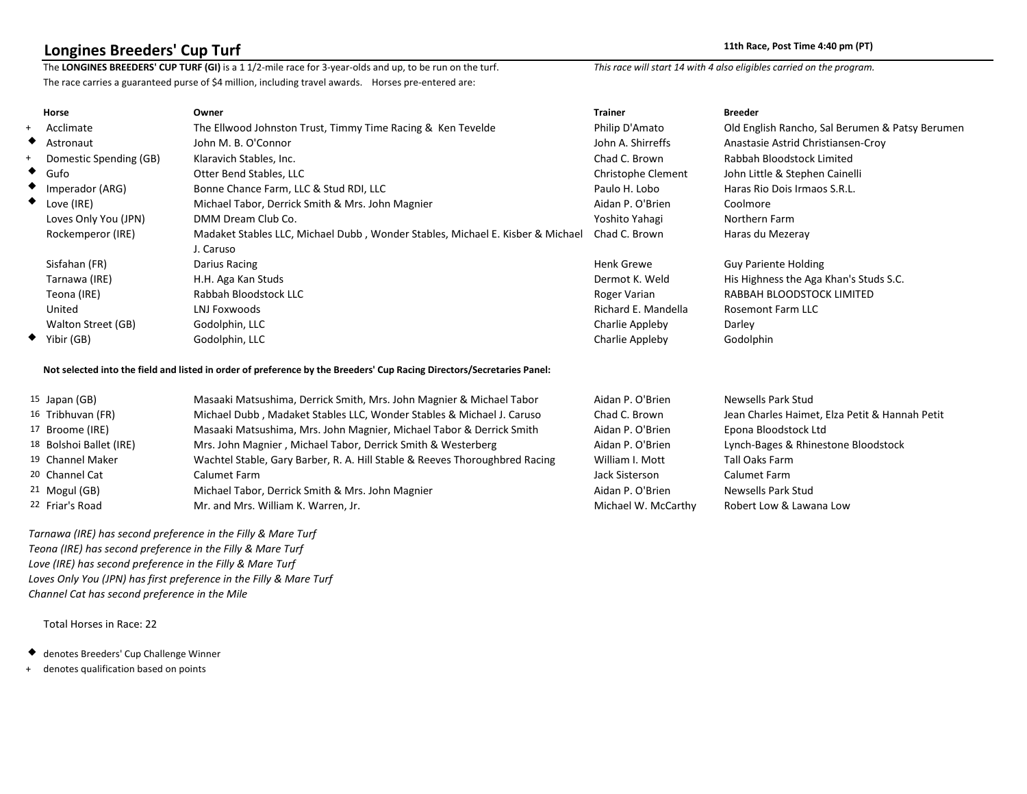**Longines Breeders' Cup Turf** 11th Race, Post Time 4:40 pm (PT)<br>The LONGINES BREEDERS' CUP TURF (GI) is a 11/2-mile race for 3-year-olds and up, to be run on the turf. This race will start 14 with 4 also eligibles carried The LONGINES BREEDERS' CUP TURF (GI) is a 1 1/2-mile race for 3-year-olds and up, to be run on the turf. The race carries a guaranteed purse of \$4 million, including travel awards. Horses pre-entered are:

|     | Horse                     | Owner                                                                          | <b>Trainer</b>      | <b>Breeder</b>                                  |
|-----|---------------------------|--------------------------------------------------------------------------------|---------------------|-------------------------------------------------|
| $+$ | Acclimate                 | The Ellwood Johnston Trust, Timmy Time Racing & Ken Tevelde                    | Philip D'Amato      | Old English Rancho, Sal Berumen & Patsy Berumen |
|     | $\blacklozenge$ Astronaut | John M. B. O'Connor                                                            | John A. Shirreffs   | Anastasie Astrid Christiansen-Croy              |
| $+$ | Domestic Spending (GB)    | Klaravich Stables, Inc.                                                        | Chad C. Brown       | Rabbah Bloodstock Limited                       |
|     | $\bullet$ Gufo            | Otter Bend Stables, LLC                                                        | Christophe Clement  | John Little & Stephen Cainelli                  |
|     | $\bullet$ Imperador (ARG) | Bonne Chance Farm, LLC & Stud RDI, LLC                                         | Paulo H. Lobo       | Haras Rio Dois Irmaos S.R.L.                    |
|     | $\bullet$ Love (IRE)      | Michael Tabor, Derrick Smith & Mrs. John Magnier                               | Aidan P. O'Brien    | Coolmore                                        |
|     | Loves Only You (JPN)      | DMM Dream Club Co.                                                             | Yoshito Yahagi      | Northern Farm                                   |
|     | Rockemperor (IRE)         | Madaket Stables LLC, Michael Dubb, Wonder Stables, Michael E. Kisber & Michael | Chad C. Brown       | Haras du Mezeray                                |
|     |                           | J. Caruso                                                                      |                     |                                                 |
|     | Sisfahan (FR)             | Darius Racing                                                                  | <b>Henk Grewe</b>   | <b>Guy Pariente Holding</b>                     |
|     | Tarnawa (IRE)             | H.H. Aga Kan Studs                                                             | Dermot K. Weld      | His Highness the Aga Khan's Studs S.C.          |
|     | Teona (IRE)               | Rabbah Bloodstock LLC                                                          | Roger Varian        | RABBAH BLOODSTOCK LIMITED                       |
|     | United                    | LNJ Foxwoods                                                                   | Richard E. Mandella | Rosemont Farm LLC                               |
|     | Walton Street (GB)        | Godolphin, LLC                                                                 | Charlie Appleby     | Darley                                          |
|     | Yibir (GB)                | Godolphin, LLC                                                                 | Charlie Appleby     | Godolphin                                       |
|     |                           |                                                                                |                     |                                                 |

### **Not selected into the field and listed in order of preference by the Breeders' Cup Racing Directors/Secretaries Panel:**

| $15$ Japan (GB)         | Masaaki Matsushima, Derrick Smith, Mrs. John Magnier & Michael Tabor        | Aidan P. O'Brien    | Newsells Park Stud                             |
|-------------------------|-----------------------------------------------------------------------------|---------------------|------------------------------------------------|
| 16 Tribhuvan (FR)       | Michael Dubb, Madaket Stables LLC, Wonder Stables & Michael J. Caruso       | Chad C. Brown       | Jean Charles Haimet, Elza Petit & Hannah Petit |
| 17 Broome (IRE)         | Masaaki Matsushima, Mrs. John Magnier, Michael Tabor & Derrick Smith        | Aidan P. O'Brien    | Epona Bloodstock Ltd                           |
| 18 Bolshoi Ballet (IRE) | Mrs. John Magnier, Michael Tabor, Derrick Smith & Westerberg                | Aidan P. O'Brien    | Lynch-Bages & Rhinestone Bloodstock            |
| 19 Channel Maker        | Wachtel Stable, Gary Barber, R. A. Hill Stable & Reeves Thoroughbred Racing | William I. Mott     | Tall Oaks Farm                                 |
| 20 Channel Cat          | Calumet Farm                                                                | Jack Sisterson      | Calumet Farm                                   |
| 21 Mogul (GB)           | Michael Tabor, Derrick Smith & Mrs. John Magnier                            | Aidan P. O'Brien    | Newsells Park Stud                             |
| 22 Friar's Road         | Mr. and Mrs. William K. Warren, Jr.                                         | Michael W. McCarthy | Robert Low & Lawana Low                        |

 *Tarnawa (IRE) has second preference in the Filly & Mare Turf Teona (IRE) has second preference in the Filly & Mare Turf Love (IRE) has second preference in the Filly & Mare Turf Loves Only You (JPN) has first preference in the Filly & Mare Turf Channel Cat has second preference in the Mile*

Total Horses in Race: 22

denotes Breeders' Cup Challenge Winner

+ denotes qualification based on points